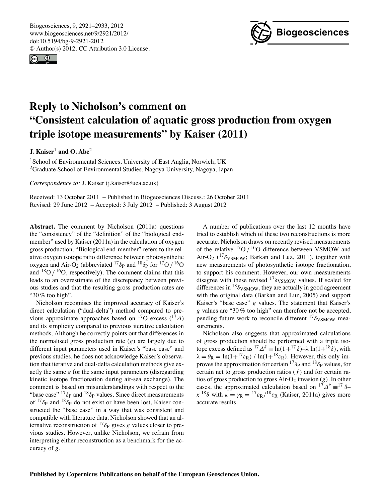<span id="page-0-0"></span>Biogeosciences, 9, 2921–2933, 2012 www.biogeosciences.net/9/2921/2012/ doi:10.5194/bg-9-2921-2012 © Author(s) 2012. CC Attribution 3.0 License.





# **Reply to Nicholson's comment on "Consistent calculation of aquatic gross production from oxygen triple isotope measurements" by Kaiser (2011)**

**J. Kaiser**<sup>1</sup> **and O. Abe**<sup>2</sup>

<sup>1</sup>School of Environmental Sciences, University of East Anglia, Norwich, UK <sup>2</sup>Graduate School of Environmental Studies, Nagoya University, Nagoya, Japan

*Correspondence to:* J. Kaiser (j.kaiser@uea.ac.uk)

Received: 13 October 2011 – Published in Biogeosciences Discuss.: 26 October 2011 Revised: 29 June 2012 – Accepted: 3 July 2012 – Published: 3 August 2012

**Abstract.** The comment by Nicholson (2011a) questions the "consistency" of the "definition" of the "biological endmember" used by Kaiser (2011a) in the calculation of oxygen gross production. "Biological end-member" refers to the relative oxygen isotope ratio difference between photosynthetic oxygen and Air-O<sub>2</sub> (abbreviated <sup>17</sup> $\delta$ <sub>P</sub> and <sup>18</sup> $\delta$ <sub>P</sub> for <sup>17</sup>O */* <sup>16</sup>O and  $^{18}O / ^{16}O$ , respectively). The comment claims that this leads to an overestimate of the discrepancy between previous studies and that the resulting gross production rates are "30 % too high".

Nicholson recognises the improved accuracy of Kaiser's direct calculation ("dual-delta") method compared to previous approximate approaches based on <sup>17</sup>O excess (<sup>17</sup> $\Delta$ ) and its simplicity compared to previous iterative calculation methods. Although he correctly points out that differences in the normalised gross production rate (*g)* are largely due to different input parameters used in Kaiser's "base case" and previous studies, he does not acknowledge Kaiser's observation that iterative and dual-delta calculation methods give exactly the same *g* for the same input parameters (disregarding kinetic isotope fractionation during air-sea exchange). The comment is based on misunderstandings with respect to the "base case"  $^{17}\delta_P$  and  $^{18}\delta_P$  values. Since direct measurements of  $17\delta$ <sub>P</sub> and  $18\delta$ <sub>P</sub> do not exist or have been lost, Kaiser constructed the "base case" in a way that was consistent and compatible with literature data. Nicholson showed that an alternative reconstruction of  $^{17}\delta_P$  gives *g* values closer to previous studies. However, unlike Nicholson, we refrain from interpreting either reconstruction as a benchmark for the accuracy of *g*.

A number of publications over the last 12 months have tried to establish which of these two reconstructions is more accurate. Nicholson draws on recently revised measurements of the relative 17O */* 16O difference between VSMOW and Air-O<sub>2</sub> (<sup>17</sup> $\delta$ <sub>VSMOW</sub>; Barkan and Luz, 2011), together with new measurements of photosynthetic isotope fractionation, to support his comment. However, our own measurements disagree with these revised  $^{17}\delta$ <sub>VSMOW</sub> values. If scaled for differences in  $^{18}\delta$ <sub>VSMOW</sub>, they are actually in good agreement with the original data (Barkan and Luz, 2005) and support Kaiser's "base case" *g* values. The statement that Kaiser's *g* values are "30 % too high" can therefore not be accepted, pending future work to reconcile different  $17\delta$ <sub>VSMOW</sub> measurements.

Nicholson also suggests that approximated calculations of gross production should be performed with a triple isotope excess defined as  ${}^{17}\Delta^{\#}$  = ln(1+<sup>17</sup> $\delta$ )– $\lambda$  ln(1+<sup>18</sup> $\delta$ ), with  $\lambda = \theta_R = \ln(1 + {^{17}}\varepsilon_R) / \ln(1 + {^{18}}\varepsilon_R)$ . However, this only improves the approximation for certain  $^{17}\delta_P$  and  $^{18}\delta_P$  values, for certain net to gross production ratios  $(f)$  and for certain ratios of gross production to gross  $Air-O<sub>2</sub>$  invasion  $(g)$ . In other cases, the approximated calculation based on  ${}^{17}\Delta^{+}$  =  ${}^{17}\delta$ - $\kappa^{18}\delta$  with  $\kappa = \gamma_R = {}^{17}\epsilon_R/{}^{18}\epsilon_R$  (Kaiser, 2011a) gives more accurate results.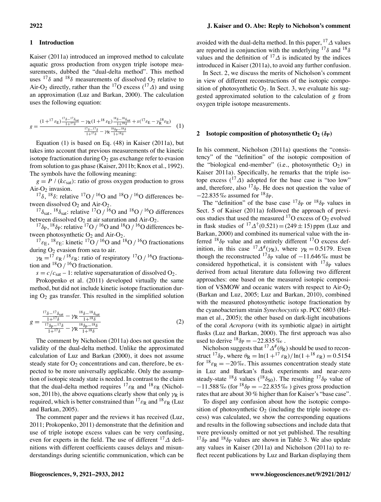# **1 Introduction**

Kaiser (2011a) introduced an improved method to calculate aquatic gross production from oxygen triple isotope measurements, dubbed the "dual-delta method". This method uses  $17\delta$  and  $18\delta$  measurements of dissolved O<sub>2</sub> relative to Air-O<sub>2</sub> directly, rather than the <sup>17</sup>O excess (<sup>17</sup> $\Delta$ ) and using an approximation (Luz and Barkan, 2000). The calculation uses the following equation:

$$
g = \frac{(1+^{17}\varepsilon_{\rm E})\frac{^{17}\delta_{\rm sat}}{1+^{17}\delta} - \gamma_{\rm R}(1+^{18}\varepsilon_{\rm E})\frac{^{18}\delta_{\rm sat}}{1+^{18}\delta} + s(^{17}\varepsilon_{\rm E} - \gamma_{\rm R}^{18}\varepsilon_{\rm E})}{\frac{^{17}\delta_{\rm at}}{1+^{17}\delta} - \gamma_{\rm R}\frac{^{18}\delta_{\rm p}-^{18}\delta}{1+^{18}\delta}} \tag{1}
$$

Equation (1) is based on Eq. (48) in Kaiser (2011a), but takes into account that previous measurements of the kinetic isotope fractionation during  $O_2$  gas exchange refer to evasion from solution to gas phase (Kaiser, 2011b; Knox et al., 1992). The symbols have the following meaning:

 $g = P / (kc_{sat})$ : ratio of gross oxygen production to gross Air-O<sub>2</sub> invasion.

<sup>17</sup> $\delta$ , <sup>18</sup> $\delta$ : relative <sup>17</sup>O */* <sup>16</sup>O and <sup>18</sup>O */* <sup>16</sup>O differences be-<br>tween dissolved O<sub>2</sub> and Air-O<sub>2</sub>.

<sup>17</sup> $\delta_{\text{sat}}$ , <sup>18</sup> $\delta_{\text{sat}}$ : relative <sup>17</sup>O */* <sup>16</sup>O and <sup>18</sup>O */* <sup>16</sup>O differences between dissolved O<sub>2</sub> at air saturation and Air-O<sub>2</sub>.

 $^{17}\delta_{\rm P}$ ,  $^{18}\delta_{\rm P}$ : relative  $^{17}O$  */* <sup>16</sup>O and <sup>18</sup>O */* <sup>16</sup>O differences between photosynthetic O<sub>2</sub> and Air-O<sub>2</sub>.<br><sup>17</sup> $\varepsilon$ <sub>E</sub>, <sup>18</sup> $\varepsilon$ <sub>E</sub>: kinetic <sup>17</sup>O */* <sup>16</sup>O and <sup>18</sup>O */* <sup>16</sup>O fractionations

during  $O_2$  evasion from sea to air.

 $\gamma_{\rm R} = 17 \varepsilon_{\rm R}$  /  $^{18}\varepsilon_{\rm R}$ : ratio of respiratory  $^{17}$ O /  $^{16}$ O fractionation and  $^{18}O / ^{16}O$  fractionation.

 $s = c/c_{\text{sat}} - 1$ : relative supersaturation of dissolved O<sub>2</sub>.

Prokopenko et al. (2011) developed virtually the same method, but did not include kinetic isotope fractionation during  $O<sub>2</sub>$  gas transfer. This resulted in the simplified solution

$$
g = \frac{\frac{^{17}\delta - ^{17}\delta_{\text{sat}}}{1+^{17}\delta} - \gamma \mathsf{R} \frac{^{18}\delta - ^{18}\delta_{\text{sat}}}{1+^{18}\delta}}{\frac{^{17}\delta_{\text{P}} - ^{17}\delta}{1+^{17}\delta} - \gamma \mathsf{R} \frac{^{18}\delta_{\text{P}} - ^{18}\delta}{1+^{18}\delta}}
$$
(2)

The comment by Nicholson (2011a) does not question the validity of the dual-delta method. Unlike the approximated calculation of Luz and Barkan (2000), it does not assume steady state for  $O_2$  concentrations and can, therefore, be expected to be more universally applicable. Only the assumption of isotopic steady state is needed. In contrast to the claim that the dual-delta method requires  $^{17} \varepsilon_R$  and  $^{18} \varepsilon_R$  (Nicholson, 2011b), the above equations clearly show that only  $\gamma_R$  is required, which is better constrained than  $^{17}$  $\varepsilon_{\rm R}$  and  $^{18}$  $\varepsilon_{\rm R}$  (Luz and Barkan, 2005).

The comment paper and the reviews it has received (Luz, 2011; Prokopenko, 2011) demonstrate that the definition and use of triple isotope excess values can be very confusing, even for experts in the field. The use of different  $^{17}\Delta$  definitions with different coefficients causes delays and misunderstandings during scientific communication, which can be

avoided with the dual-delta method. In this paper,  $^{17}\Delta$  values are reported in conjunction with the underlying  $17\delta$  and  $18\delta$ values and the definition of  $17\Delta$  is indicated by the indices introduced in Kaiser (2011a), to avoid any further confusion.

In Sect. 2, we discuss the merits of Nicholson's comment in view of different reconstructions of the isotopic composition of photosynthetic  $O_2$ . In Sect. 3, we evaluate his suggested approximated solution to the calculation of *g* from oxygen triple isotope measurements.

# **2** Isotopic composition of photosynthetic  $O_2$  ( $\delta_P$ )

In his comment, Nicholson (2011a) questions the "consistency" of the "definition" of the isotopic composition of the "biological end-member" (i.e., photosynthetic  $O_2$ ) in Kaiser 2011a). Specifically, he remarks that the triple isotope excess  $({}^{17}\Delta)$  adopted for the base case is "too low" and, therefore, also  $17\delta$ <sub>P</sub>. He does not question the value of  $-22.835\%$  assumed for  $18_{\text{p}}$ .

The "definition" of the base case  $^{17}\delta_P$  or  $^{18}\delta_P$  values in Sect. 5 of Kaiser (2011a) followed the approach of previous studies that used the measured  $^{17}$ O excess of O<sub>2</sub> evolved in flask studies of  ${}^{17}\Delta^{†}(0.521) = (249 \pm 15)$  ppm (Luz and Barkan, 2000) and combined its numerical value with the inferred  $18\delta$ <sub>P</sub> value and an entirely different  $17$ O excess definition, in this case  ${}^{17}\Delta^{\#}(\gamma_{\rm R})$ , where  $\gamma_{\rm R} = 0.5179$ . Even though the reconstructed <sup>17</sup> $\delta$ <sub>P</sub> value of  $-11.646\%$  must be considered hypothetical, it is consistent with  $17\delta_{\rm P}$  values derived from actual literature data following two different approaches: one based on the measured isotopic composition of VSMOW and oceanic waters with respect to  $Air-O<sub>2</sub>$ (Barkan and Luz, 2005; Luz and Barkan, 2010), combined with the measured photosynthetic isotope fractionation by the cyanobacterium strain *Synechocystis* sp. PCC 6803 (Helman et al., 2005); the other based on dark-light incubations of the coral *Acropora* (with its symbiotic algae) in airtight flasks (Luz and Barkan, 2000). The first approach was also used to derive  $^{18}\delta_P = -22.835\%$ .

Nicholson suggests that  ${}^{17}\Delta^{\#}(\theta_R)$  should be used to reconstruct  $^{17}\delta_P$ , where  $\theta_R = \ln(1 + ^{17}\epsilon_R)/\ln(1 + ^{18}\epsilon_R) = 0.5154$ for  $^{18} \varepsilon_{\rm R} = -20\%$ . This assumes concentration steady state in Luz and Barkan's flask experiments and near-zero steady-state  $^{18}\delta$  values ( $^{18}\delta_{\text{SO}}$ ). The resulting  $^{17}\delta_{\text{P}}$  value of  $-11.588\%$  (for  $^{18}\delta_P = -22.835\%$ ) gives gross production rates that are about 30 % higher than for Kaiser's "base case".

To dispel any confusion about how the isotopic composition of photosynthetic  $O_2$  (including the triple isotope excess) was calculated, we show the corresponding equations and results in the following subsections and include data that were previously omitted or not yet published. The resulting  $17\delta_{\rm P}$  and  $18\delta_{\rm P}$  values are shown in Table 3. We also update any values in Kaiser (2011a) and Nicholson (2011a) to reflect recent publications by Luz and Barkan displaying them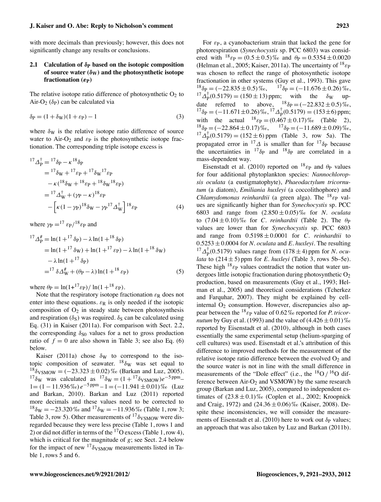#### **J. Kaiser and O. Abe: Reply to Nicholson's comment 2923**

with more decimals than previously; however, this does not significantly change any results or conclusions.

# <span id="page-2-0"></span>**2.1 Calculation of <sup>P</sup> based on the isotopic composition** of source water  $(\delta_{\rm W})$  and the photosynthetic isotope **fractionation**  $(\epsilon_{\rm P})$

The relative isotope ratio difference of photosynthetic  $O_2$  to Air-O<sub>2</sub> ( $\delta$ <sub>P</sub>) can be calculated via

$$
\delta \mathbf{p} = (1 + \delta \mathbf{w})(1 + \varepsilon \mathbf{p}) - 1 \tag{3}
$$

where  $\delta_{\rm W}$  is the relative isotope ratio difference of source water to Air-O<sub>2</sub> and  $\varepsilon_P$  is the photosynthetic isotope fractionation. The corresponding triple isotope excess is

$$
{}^{17}\Delta_{\rm P}^{\dagger} = {}^{17}\delta_{\rm P} - \kappa {}^{18}\delta_{\rm P}
$$
  
=  ${}^{17}\delta_{\rm W} + {}^{17}\varepsilon_{\rm P} + {}^{17}\delta_{\rm W} {}^{17}\varepsilon_{\rm P}$   
 $-\kappa ({}^{18}\delta_{\rm W} + {}^{18}\varepsilon_{\rm P} + {}^{18}\delta_{\rm W} {}^{18}\varepsilon_{\rm P})$   
=  ${}^{17}\Delta_{\rm W}^{\dagger} + (\gamma_{\rm P} - \kappa) {}^{18}\varepsilon_{\rm P}$   
 $-\left[\kappa (1 - \gamma_{\rm P}) {}^{18}\delta_{\rm W} - \gamma_{\rm P} {}^{17}\Delta_{\rm W}^{\dagger}\right] {}^{18}\varepsilon_{\rm P}$  (4)

where  $\gamma_P = {}^{17}$   $\varepsilon_P / {}^{18}$   $\varepsilon_P$  and

$$
{}^{17}\Delta_p^{\#} = \ln(1 + {}^{17}\delta_P) - \lambda \ln(1 + {}^{18}\delta_P)
$$
  
=  $\ln(1 + {}^{17}\delta_W) + \ln(1 + {}^{17}\varepsilon_P) - \lambda \ln(1 + {}^{18}\delta_W)$   
 $- \lambda \ln(1 + {}^{17}\delta_P)$   
=  ${}^{17}\delta \Delta_W^{\#} + (\theta_P - \lambda) \ln(1 + {}^{18}\varepsilon_P)$  (5)

where  $\theta_P = \ln(1+^{17}\epsilon_P)/\ln(1+^{18}\epsilon_P)$ .

Note that the respiratory isotope fractionation  $\varepsilon_R$  does not enter into these equations.  $\varepsilon_R$  is only needed if the isotopic composition of  $O_2$  in steady state between photosynthesis and respiration  $(\delta_S)$  was required.  $\delta_S$  can be calculated using Eq. (31) in Kaiser (2011a). For comparison with Sect. 2.2, the corresponding  $\delta_{\text{SO}}$  values for a net to gross production ratio of  $f = 0$  are also shown in Table 3; see also Eq. (6) below.

Kaiser (2011a) chose  $\delta_W$  to correspond to the isotopic composition of seawater.  $^{18}\delta_{\rm W}$  was set equal to  $^{18}\delta$ VSMOW =  $(-23.323 \pm 0.02)\%$  (Barkan and Luz, 2005). <sup>17</sup> $\delta_{\rm W}$  was calculated as <sup>17</sup> $\delta_{\rm W} = (1 + {}^{17} \delta_{\rm VSMOW})e^{-5 \text{ ppm}}$  $1 = (1 - 11.936\%) e^{-5\text{ppm}} - 1 = (-11.941 \pm 0.01)\%$  (Luz and Barkan, 2010). Barkan and Luz (2011) reported more decimals and these values need to be corrected to  $18\delta_W = -23.320\%$  and  $17\delta_W = -11.936\%$  (Table 1, row 3; Table 3, row 5). Other measurements of  $17\delta$ <sub>VSMOW</sub> were disregarded because they were less precise (Table 1, rows 1 and 2) or did not differ in terms of the  $17$ O excess (Table 1, row 4), which is critical for the magnitude of *g*; see Sect. 2.4 below for the impact of new  $17\delta$ <sub>VSMOW</sub> measurements listed in Table 1, rows 5 and 6.

For  $\varepsilon_{P}$ , a cyanobacterium strain that lacked the gene for photorespiration (*Synechocystis* sp. PCC 6803) was considered with  $^{18}$   $\varepsilon_{\rm P} = (0.5 \pm 0.5) \%$  and  $\theta_{\rm P} = 0.5354 \pm 0.0020$ (Helman et al., 2005; Kaiser, 2011a). The uncertainty of  $^{18}$   $\varepsilon_{\rm P}$ was chosen to reflect the range of photosynthetic isotope fractionation in other systems (Guy et al., 1993). This gave  $^{18}\delta_{\rm P} = (-22.835 \pm 0.5)\%$ ,  $^{17}\delta_{\rm P} = (-11.676 \pm 0.26)\%$ ,  $^{17}\Delta_p^{\dagger}(0.5179) = (150 \pm 13)$  ppm; with the  $\delta_{\rm W}$  update referred to above,  $^{18}\delta p = (-22.832 \pm 0.5)\%$ ,  $^{17}\delta_{\rm P} = (-11.671 \pm 0.26)\%$ ,  $^{17}\Delta_{\rm P}^{\dagger}(0.5179) = (153 \pm 6)$  ppm; with the actual  $^{18}$   $_{\text{FP}} = (0.467 \pm 0.17)\%$  (Table 2),  $^{18}\delta_{\rm P} = (-22.864 \pm 0.17)\%$ ,  $^{17}\delta_{\rm P} = (-11.689 \pm 0.09)\%$ ,  $^{17}\Delta_p^{\dagger}(0.5179) = (152 \pm 6)$  ppm (Table 3, row 5a). The propagated error in <sup>17</sup> $\Delta$  is smaller than for <sup>17</sup> $\delta$ <sub>P</sub> because the uncertainties in  $^{17}\delta_{\rm P}$  and  $^{18}\delta_{\rm P}$  are correlated in a mass-dependent way.

Eisenstadt et al. (2010) reported on  $^{18}$   $\varepsilon_{\rm P}$  and  $\theta_{\rm P}$  values for four additional phytoplankton species: *Nannochloropsis oculata* (a eustigmatophyte), *Phaeodactylum tricornutum* (a diatom), *Emiliania huxleyi* (a coccolithophore) and *Chlamydomonas reinhardtii* (a green alga). The  $^{18}$ <sub> $\epsilon$ P</sub> values are significantly higher than for *Synechocystis* sp. PCC 6803 and range from (2.850 ± 0.05) ‰ for *N. oculata* to  $(7.04 \pm 0.10)\%$  for *C. reinhardtii* (Table 2). The  $\theta_P$ values are lower than for *Synechocystis* sp. PCC 6803 and range from  $0.5198 \pm 0.0001$  for *C. reinhardtii* to  $0.5253 \pm 0.0004$  for *N. oculata* and *E. huxleyi*. The resulting  $^{17}$  $\Delta_{\rm P}^{†}$ (0.5179) values range from (178 ± 4) ppm for *N. oculata* to  $(214 \pm 5)$  ppm for *E. huxleyi* (Table 3, rows 5b–5e). These high  $^{18}$  $\varepsilon_{\rm P}$  values contradict the notion that water undergoes little isotopic fractionation during photosynthetic  $O<sub>2</sub>$ production, based on measurements (Guy et al., 1993; Helman et al., 2005) and theoretical considerations (Tcherkez and Farquhar, 2007). They might be explained by cellinternal  $O<sub>2</sub>$  consumption. However, discrepancies also appear between the  $^{18}$ <sub> $\varepsilon$ P</sub> value of 0.62% reported for *P. tricornutum* by Guy et al. (1993) and the value of  $(4.426 \pm 0.01)\%$ reported by Eisenstadt et al. (2010), although in both cases essentially the same experimental setup (helium-sparging of cell cultures) was used. Eisenstadt et al.'s attribution of this difference to improved methods for the measurement of the relative isotope ratio difference between the evolved  $O<sub>2</sub>$  and the source water is not in line with the small difference in measurements of the "Dole effect" (i.e., the  $^{18}O / ^{16}O$  difference between  $Air-O<sub>2</sub>$  and VSMOW) by the same research group (Barkan and Luz, 2005), compared to independent estimates of  $(23.8 \pm 0.1)\%$  (Coplen et al., 2002; Kroopnick and Craig, 1972) and  $(24.36 \pm 0.06)\%$  (Kaiser, 2008). Despite these inconsistencies, we will consider the measurements of Eisenstadt et al. (2010) here to work out  $\delta_P$  values; an approach that was also taken by Luz and Barkan (2011b).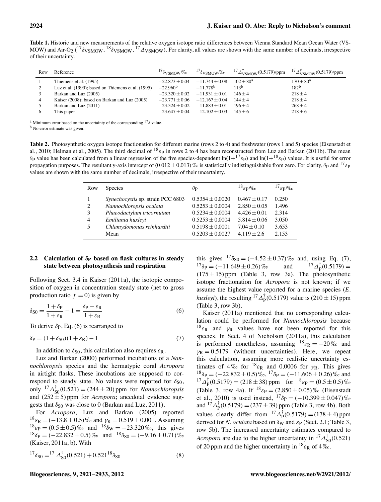**Table 1.** Historic and new measurements of the relative oxygen isotope ratio differences between Vienna Standard Mean Ocean Water (VS-MOW) and Air-O<sub>2</sub> (<sup>17</sup> $\delta$ <sub>VSMOW</sub>, <sup>18</sup> $\delta$ <sub>VSMOW</sub>, <sup>17</sup> $\Delta$ <sub>VSMOW</sub>). For clarity, all values are shown with the same number of decimals, irrespective of their uncertainty.

| Row | Reference                                          | $18\delta$ VSMOW/% | $17\delta$ <sub>VSMOW</sub> /% | $^{17} \Delta_{\rm VSMOW}^{\dagger}$ (0.5179)/ppm | $^{17}\Delta^{\#}_{\rm VSMOW}(0.5179)/{\rm ppm}$ |
|-----|----------------------------------------------------|--------------------|--------------------------------|---------------------------------------------------|--------------------------------------------------|
|     | Thiemens et al. (1995)                             | $-22.873 + 0.04$   | $-11.744 + 0.08$               | $102 + 80^{\rm a}$                                | $170 + 80^{\rm a}$                               |
|     | Luz et al. (1999); based on Thiemens et al. (1995) | $-22.960b$         | $-11.778$ <sup>b</sup>         | 113 <sup>b</sup>                                  | 182 <sup>b</sup>                                 |
|     | Barkan and Luz (2005)                              | $-23.320 + 0.02$   | $-11.931 + 0.01$               | $146 + 4$                                         | $218 + 4$                                        |
| 4   | Kaiser (2008); based on Barkan and Luz (2005)      | $-23.771 + 0.06$   | $-12.167 \pm 0.04$             | $144 + 4$                                         | $218 + 4$                                        |
|     | Barkan and Luz (2011)                              | $-23.324 \pm 0.02$ | $-11.883 \pm 0.01$             | $196 + 4$                                         | $268 \pm 4$                                      |
| 6   | This paper                                         | $-23.647 + 0.04$   | $-12.102 + 0.03$               | $145 + 6$                                         | $218 + 6$                                        |

<sup>a</sup> Minimum error based on the uncertainty of the corresponding  $17\delta$  value.

<sup>b</sup> No error estimate was given.

Table 2. Photosynthetic oxygen isotope fractionation for different marine (rows 2 to 4) and freshwater (rows 1 and 5) species (Eisenstadt et al., 2010; Helman et al., 2005). The third decimal of  $^{18}$   $\varepsilon_{\rm P}$  in rows 2 to 4 has been reconstructed from Luz and Barkan (2011b). The mean  $\theta_P$  value has been calculated from a linear regression of the five species-dependent ln(1+<sup>17</sup> $\varepsilon_P$ ) and ln(1+<sup>18</sup> $\varepsilon_P$ ) values. It is useful for error propagation purposes. The resultant y-axis intercept of  $(0.012 \pm 0.013)$  ‰ is statistically indistinguishable from zero. For clarity,  $\theta_P$  and  $^{17} \epsilon_P$ values are shown with the same number of decimals, irrespective of their uncertainty.

| Row | <b>Species</b>                    | $\theta_{\bf P}$    | $^{18}$ $\varepsilon$ p/%o | $^{17}$ $\varepsilon$ p/%o |
|-----|-----------------------------------|---------------------|----------------------------|----------------------------|
|     | Synechocystis sp. strain PCC 6803 | $0.5354 + 0.0020$   | $0.467 + 0.17$             | 0.250                      |
| 2   | Nannochloropsis oculata           | $0.5253 \pm 0.0004$ | $2.850 \pm 0.05$           | 1.496                      |
| 3   | Phaeodactylum tricornutum         | $0.5234 \pm 0.0004$ | $4.426 \pm 0.01$           | 2.314                      |
| 4   | Emiliania huxleyi                 | $0.5253 \pm 0.0004$ | $5.814 \pm 0.06$           | 3.050                      |
| 5   | Chlamydomonas reinhardtii         | $0.5198 \pm 0.0001$ | $7.04 + 0.10$              | 3.653                      |
|     | Mean                              | $0.5203 \pm 0.0027$ | $4.119 \pm 2.6$            | 2.153                      |

# **2.2 Calculation of <sup>P</sup> based on flask cultures in steady state between photosynthesis and respiration**

Following Sect. 3.4 in Kaiser (2011a), the isotopic composition of oxygen in concentration steady state (net to gross production ratio  $f = 0$ ) is given by

$$
\delta_{\rm S0} = \frac{1 + \delta_{\rm P}}{1 + \varepsilon_{\rm R}} - 1 = \frac{\delta_{\rm P} - \varepsilon_{\rm R}}{1 + \varepsilon_{\rm R}}\tag{6}
$$

To derive  $\delta_P$ , Eq. (6) is rearranged to

$$
\delta_P = (1 + \delta_{S0})(1 + \varepsilon_R) - 1\tag{7}
$$

In addition to  $\delta_{\text{SO}}$ , this calculation also requires  $\varepsilon_{\text{R}}$ .

Luz and Barkan (2000) performed incubations of a *Nannochloropsis* species and the hermatypic coral *Acropora* in airtight flasks. These incubations are supposed to correspond to steady state. No values were reported for  $\delta_{S0}$ , only  ${}^{17}\Delta_{S0}^{†}(0.521) = (244 \pm 20)$  ppm for *Nannochloropsis* and  $(252 \pm 5)$  ppm for *Acropora*; anecdotal evidence suggests that  $\delta_{50}$  was close to 0 (Barkan and Luz, 2011).

For *Acropora*, Luz and Barkan (2005) reported  $^{18} \varepsilon_R = (-13.8 \pm 0.5) \%$  and  $\gamma_R = 0.519 \pm 0.001$ . Assuming  $^{18}$  $\varepsilon_{\rm P} = (0.5 \pm 0.5)\%$  and  $^{18}$  $\delta_{\rm W} = -23.320\%$ , this gives  $^{18}\delta_{\rm P} = (-22.832 \pm 0.5)\%$  and  $^{18}\delta_{\rm SO} = (-9.16 \pm 0.71)\%$ (Kaiser, 2011a, b). With

$$
{}^{17}\delta_{\rm S0} = {}^{17}\Delta_{\rm S0}^{\dagger} (0.521) + 0.521 {}^{18}\delta_{\rm S0} \tag{8}
$$

this gives  ${}^{17}\delta_{S0} = (-4.52 \pm 0.37)\%$  and, using Eq. (7),<br> ${}^{17}\delta_{P} = (-11.649 \pm 0.26)\%$  and  ${}^{17}\Delta_{P}^{\dagger}(0.5179) =$  $17_{\delta \mathrm{p}} = (-11.649 \pm 0.26)\%$  ${}^{17}\Delta_{\rm P}^{\dagger}(0.5179) =$  $(175 \pm 15)$  ppm (Table 3, row 3a). The photosynthetic isotope fractionation for *Acropora* is not known; if we assume the highest value reported for a marine species (*E. huxleyi*), the resulting <sup>17</sup> $\Delta_P^{\dagger}$ (0.5179) value is (210 ± 15) ppm (Table 3, row 3b).

Kaiser (2011a) mentioned that no corresponding calculation could be performed for *Nannochloropsis* because  $^{18}$  $\varepsilon_{\rm R}$  and  $\gamma_{\rm R}$  values have not been reported for this species. In Sect. 4 of Nicholson (2011a), this calculation is performed nonetheless, assuming  $^{18} \varepsilon_R = -20\%$  and  $\gamma_R = 0.5179$  (without uncertainties). Here, we repeat this calculation, assuming more realistic uncertainty estimates of 4% for  $18_{\text{ER}}$  and 0.0006 for  $\gamma$ <sub>R</sub>. This gives  $^{18}\delta_{P} = (-22.832 \pm 0.5)\%$ ,  $^{17}\delta_{P} = (-11.606 \pm 0.26)\%$  and  $^{17}$  $\Delta_{\rm P}^{\dagger}$ (0.5179) = (218 ± 38) ppm for  $^{8}$  $\varepsilon_{\rm P}$  = (0.5 ± 0.5) % (Table 3, row 4a). If  $^{18}$  e<sub>P</sub> =  $(2.850 \pm 0.05)\%$  (Eisenstadt et al., 2010) is used instead,  $^{17}\delta_P = (-10.399 \pm 0.047)\%$ and  ${}^{17}\Delta_p^{\dagger}(0.5179) = (237 \pm 39)$  ppm (Table 3, row 4b). Both values clearly differ from  $^{17}\Delta_p^{\dagger}(0.5179) = (178 \pm 4)$  ppm derived for *N. oculata* based on  $\delta_W$  and  $\varepsilon_P$  (Sect. 2.1; Table 3, row 5b). The increased uncertainty estimates compared to *Acropora* are due to the higher uncertainty in  ${}^{17}\Delta_{S0}^{†}$  (0.521) of 20 ppm and the higher uncertainty in  $^{18}$   $\varepsilon_{\rm R}$  of 4%.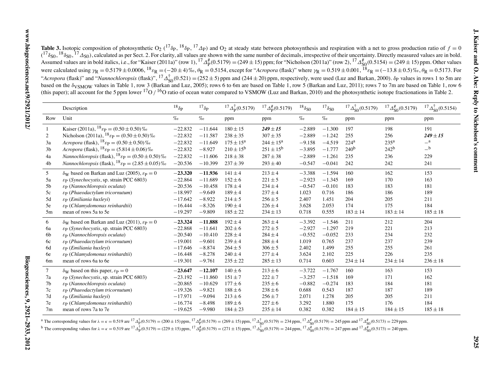| <b>Table 3.</b> Isotopic composition of photosynthetic O <sub>2</sub> ( <sup>17</sup> $\delta$ <sub>P</sub> , <sup>18</sup> $\delta$ <sub>P</sub> , <sup>17</sup> $\Delta$ <sub>P</sub> ) and O <sub>2</sub> at steady state between photosynthesis and respiration with a net to gross production ratio of $f = 0$ |
|---------------------------------------------------------------------------------------------------------------------------------------------------------------------------------------------------------------------------------------------------------------------------------------------------------------------|
| $({}^{17}\delta_{50}, {}^{18}\delta_{50}, {}^{17}\Delta_{50})$ , calculated as per Sect. 2. For clarity, all values are shown with the same number of decimals, irrespective of their uncertainty. Directly measured values are in bold.                                                                            |
| Assumed values are in bold italics, i.e., for "Kaiser (2011a)" (row 1), <sup>17</sup> $\Delta_p^{\#}(0.5179) = (249 \pm 15)$ ppm; for "Nicholson (2011a)" (row 2), <sup>17</sup> $\Delta_{50}^{\#}(0.5154) = (249 \pm 15)$ ppm. Other values                                                                        |
| were calculated using $\gamma_R = 0.5179 \pm 0.0006$ , ${}^{18}\epsilon_R = (-20 \pm 4)\%$ , $\theta_R = 0.5154$ , except for "Acropora (flask)" where $\gamma_R = 0.519 \pm 0.001$ , ${}^{18}\epsilon_R = (-13.8 \pm 0.5)\%$ , $\theta_R = 0.5173$ . For                                                           |
| "Acropora (flask)" and "Nannochloropsis (flask)", ${}^{17}\Delta_{50}^{+}(0.521) = (252 \pm 5)$ ppm and (244 ± 20) ppm, respectively, were used (Luz and Barkan, 2000). $\delta$ p values in rows 1 to 5m are                                                                                                       |
| based on the $\delta_{VSMOW}$ values in Table 1, row 3 (Barkan and Luz, 2005); rows 6 to 6m are based on Table 1, row 5 (Barkan and Luz, 2011); rows 7 to 7m are based on Table 1, row 6                                                                                                                            |
| (this paper); all account for the 5 ppm lower $170/160$ ratio of ocean water compared to VSMOW (Luz and Barkan, 2010) and the photosynthetic isotope fractionations in Table 2.                                                                                                                                     |

|                | Description                                                                                 | $^{18}\delta_{\rm P}$ | $^{17}\delta$ P | $^{17} \Delta_{\rm p}^{\dagger} (0.5179)$ | $^{17} \Delta_p^{\#} (0.5179)$ | $^{18}\delta_{\rm S0}$ | $^{17}\delta_{\rm S0}$ | $^{17}\Delta_{80}^{†}(0.5179)$ | $^{17} \Delta_{50}^{\#} (0.5179)$ | $^{17}\Delta_{80}^{†}$ (0.5154) |
|----------------|---------------------------------------------------------------------------------------------|-----------------------|-----------------|-------------------------------------------|--------------------------------|------------------------|------------------------|--------------------------------|-----------------------------------|---------------------------------|
| Row            | Unit                                                                                        | $\%o$                 | $\%o$           | ppm                                       | ppm                            | $\%o$                  | $\%o$                  | ppm                            | ppm                               | ppm                             |
| 1              | Kaiser (2011a), ${}^{18}$ $\varepsilon$ p = (0.50 $\pm$ 0.50) $\%$                          | $-22.832$             | $-11.644$       | $180 \pm 15$                              | $249 \pm 15$                   | $-2.889$               | $-1.300$               | 197                            | 198                               | 191                             |
| 2              | Nicholson (2011a), $^{18}$ $\varepsilon$ P = (0.50 ± 0.50) $\%$                             | $-22.832$             | $-11.587$       | $238 + 35$                                | $307 + 35$                     | $-2.889$               | $-1.242$               | 255                            | 256                               | $249 + 15$                      |
| 3a             | Acropora (flask), $^{18}$ $\varepsilon_{\rm P} = (0.50 \pm 0.50)$ %                         | $-22.832$             | $-11.649$       | $175 \pm 15^{\rm a}$                      | $244 \pm 15^{\rm a}$           | $-9.158$               | $-4.519$               | $224^{\rm a}$                  | 235 <sup>a</sup>                  | $\_a$                           |
| 3 <sub>b</sub> | Acropora (flask), ${}^{18}$ $\varepsilon$ P = (5.814 ± 0.06) $\%$                           | $-22.832$             | $-8.927$        | $210 \pm 15^{\rm b}$                      | $251 \pm 15^{\rm b}$           | $-3.895$               | $-1.777$               | 240 <sup>b</sup>               | 242 <sup>b</sup>                  | $_{-}$ b                        |
| 4a             | <i>Nannochloropsis</i> (flask), $^{18}$ $\varepsilon$ P = (0.50 ± 0.50) $\%$                | $-22.832$             | $-11.606$       | $218 \pm 38$                              | $287 \pm 38$                   | $-2.889$               | $-1.261$               | 235                            | 236                               | 229                             |
| 4 <sub>b</sub> | <i>Nannochloropsis</i> (flask), $^{18}$ $\varepsilon$ <sub>P</sub> = (2.85 $\pm$ 0.05) $\%$ | $-20.536$             | $-10.399$       | $237 \pm 39$                              | $293 \pm 40$                   | $-0.547$               | $-0.041$               | 242                            | 242                               | 241                             |
| 5              | $\delta_{\rm W}$ based on Barkan and Luz (2005), $\varepsilon_{\rm P} = 0$                  | $-23.320$             | $-11.936$       | $141 \pm 4$                               | $213 \pm 4$                    | $-3.388$               | $-1.594$               | 160                            | 162                               | 153                             |
| 5a             | $\varepsilon_{\rm P}$ (Synechocystis, sp. strain PCC 6803)                                  | $-22.864$             | $-11.689$       | $152 \pm 6$                               | $221 \pm 5$                    | $-2.923$               | $-1.345$               | 169                            | 170                               | 163                             |
| 5b             | $\varepsilon_{\rm P}$ (Nannochloropsis oculata)                                             | $-20.536$             | $-10.458$       | $178 \pm 4$                               | $234 \pm 4$                    | $-0.547$               | $-0.101$               | 183                            | 183                               | 181                             |
| 5c             | $\varepsilon_{\rm P}$ (Phaeodactylum tricornutum)                                           | $-18.997$             | $-9.649$        | $189 \pm 4$                               | $237 \pm 4$                    | 1.023                  | 0.716                  | 186                            | 186                               | 189                             |
| 5d             | $\varepsilon_{\rm P}$ (Emiliania huxleyi)                                                   | $-17.642$             | $-8.922$        | $214 \pm 5$                               | $256 \pm 5$                    | 2.407                  | 1.451                  | 204                            | 205                               | 211                             |
| 5e             | $\varepsilon_{\rm P}$ (Chlamydomonas reinhardtii)                                           | $-16.444$             | $-8.326$        | $190 \pm 4$                               | $226 \pm 4$                    | 3.628                  | 2.053                  | 174                            | 175                               | 184                             |
| 5m             | mean of rows 5a to 5e                                                                       | $-19.297$             | $-9.809$        | $185 \pm 22$                              | $234 \pm 13$                   | 0.718                  | 0.555                  | $183 \pm 14$                   | $183\pm14$                        | $185 \pm 18$                    |
| 6              | $\delta_{\rm W}$ based on Barkan and Luz (2011), $\varepsilon_{\rm P} = 0$                  | $-23.324$             | $-11.888$       | $192 \pm 4$                               | $263 \pm 4$                    | $-3.392$               | $-1.546$               | 211                            | 212                               | 204                             |
| 6a             | $\varepsilon_{\rm P}$ (Synechocystis, sp. strain PCC 6803)                                  | $-22.868$             | $-11.641$       | $202 \pm 6$                               | $272 \pm 5$                    | $-2.927$               | $-1.297$               | 219                            | 221                               | 213                             |
| 6b             | $\varepsilon_{\rm P}$ (Nannochloropsis oculata)                                             | $-20.540$             | $-10.410$       | $228 \pm 4$                               | $284 \pm 4$                    | $-0.552$               | $-0.052$               | 233                            | 234                               | 232                             |
| 6c             | $\varepsilon_{\rm P}$ (Phaeodactylum tricornutum)                                           | $-19.001$             | $-9.601$        | $239 \pm 4$                               | $288 \pm 4$                    | 1.019                  | 0.765                  | 237                            | 237                               | 239                             |
| 6d             | $\varepsilon_{\rm P}$ (Emiliania huxleyi)                                                   | $-17.646$             | $-8.874$        | $264 \pm 5$                               | $306 \pm 5$                    | 2.402                  | 1.499                  | 255                            | 255                               | 261                             |
| 6e             | $\varepsilon_{\rm P}$ (Chlamydomonas reinhardtii)                                           | $-16.448$             | $-8.278$        | $240 \pm 4$                               | $277 \pm 4$                    | 3.624                  | 2.102                  | 225                            | 226                               | 235                             |
| 6 <sub>m</sub> | mean of rows 6a to 6e                                                                       | $-19.301$             | $-9.761$        | $235 \pm 22$                              | $285 \pm 13$                   | 0.714                  | 0.603                  | $234 \pm 14$                   | $234 \pm 14$                      | $236 \pm 18$                    |
| 7              | $\delta_{\rm W}$ based on this paper, $\varepsilon_{\rm P}=0$                               | $-23.647$             | $-12.107$       | $140 \pm 6$                               | $213 \pm 6$                    | $-3.722$               | $-1.767$               | 160                            | 163                               | 153                             |
| 7a             | $\varepsilon_{\rm P}$ (Synechocystis, sp. strain PCC 6803)                                  | $-23.192$             | $-11.860$       | $151 \pm 7$                               | $222 \pm 7$                    | $-3.257$               | $-1.518$               | 169                            | 171                               | 162                             |
| 7 <sub>b</sub> | $\varepsilon_{\rm P}$ (Nannochloropsis oculata)                                             | $-20.865$             | $-10.629$       | $177 \pm 6$                               | $235 \pm 6$                    | $-0.882$               | $-0.274$               | 183                            | 184                               | 181                             |
| 7c             | $\varepsilon_{\rm P}$ (Phaeodactylum tricornutum)                                           | $-19.326$             | $-9.821$        | $188 \pm 6$                               | $238 \pm 6$                    | 0.688                  | 0.543                  | 187                            | 187                               | 189                             |
| 7d             | $\varepsilon_{\rm P}$ (Emiliania huxleyi)                                                   | $-17.971$             | $-9.094$        | $213 \pm 6$                               | $256 \pm 7$                    | 2.071                  | 1.278                  | 205                            | 205                               | 211                             |
| 7e             | $\varepsilon_{\rm P}$ (Chlamydomonas reinhardtii)                                           | $-16.774$             | $-8.498$        | $189 \pm 6$                               | $227 \pm 6$                    | 3.292                  | 1.880                  | 175                            | 176                               | 184                             |
| 7 <sub>m</sub> | mean of rows 7a to 7e                                                                       | $-19.625$             | $-9.980$        | $184 \pm 23$                              | $235 \pm 14$                   | 0.382                  | 0.382                  | $184 \pm 15$                   | $184 \pm 15$                      | $185 \pm 18$                    |

<sup>a</sup> The corresponding values for  $\lambda = \kappa = 0.519$  are  ${}^{17}\Delta_{\rm P}^{\dagger} (0.5179) = (200 \pm 15)$  ppm,  ${}^{17}\Delta_{\rm P}^{\dagger} (0.5179) = (269 \pm 15)$  ppm,  ${}^{17}\Delta_{\rm S0}^{\dagger} (0.5179) = 234$  ppm,  ${}^{17}\Delta_{\rm SO}^{\dagger} (0.5179) = 245$  ppm and  ${}^{1$ <sup>b</sup> The corresponding values for  $\lambda = \kappa = 0.519$  are  ${}^{17}\Delta_{\rm P}^{\dagger} (0.5179) = (229 \pm 15)$  ppm,  ${}^{17}\Delta_{\rm P}^{\dagger} (0.5179) = (271 \pm 15)$  ppm,  ${}^{17}\Delta_{\rm SO}^{\dagger} (0.5179) = 244$  ppm,  ${}^{17}\Delta_{\rm SO}^{\dagger} (0.5179) = 247$  ppm and  ${}^{17$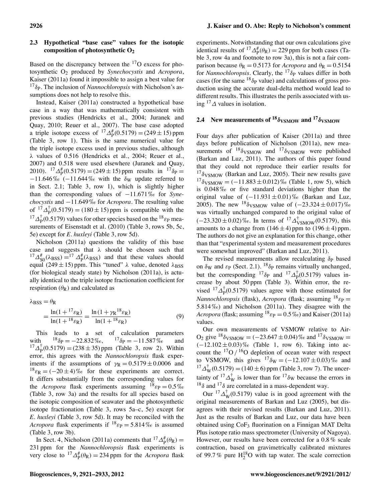# **2.3 Hypothetical "base case" values for the isotopic composition of photosynthetic O2**

Based on the discrepancy between the  $17O$  excess for photosynthetic O2 produced by *Synechocystis* and *Acropora*, Kaiser (2011a) found it impossible to assign a best value for  $^{17}\delta_{\rm P}$ . The inclusion of *Nannochloropsis* with Nicholson's assumptions does not help to resolve this.

Instead, Kaiser (2011a) constructed a hypothetical base case in a way that was mathematically consistent with previous studies (Hendricks et al., 2004; Juranek and Quay, 2010; Reuer et al., 2007). The base case adopted a triple isotope excess of  ${}^{17}\Delta_p^{\#}(0.5179) = (249 \pm 15)$  ppm (Table 3, row 1). This is the same numerical value for the triple isotope excess used in previous studies, although  $\lambda$  values of 0.516 (Hendricks et al., 2004; Reuer et al., 2007) and 0.518 were used elsewhere (Juranek and Quay, 2010).  ${}^{17}\Delta_p^{\#}(0.5179) = (249 \pm 15)$  ppm results in  ${}^{17}\delta_p =$  $-11.646\%$  (-11.644% with the  $\delta_{\rm W}$  update referred to in Sect. 2.1; Table 3, row 1), which is slightly higher than the corresponding values of  $-11.671\%$  for *Synechocystis* and  $-11.649\%$  for *Acropora*. The resulting value of  ${}^{17}\Delta_{\rm P}^{\dagger}(0.5179) = (180 \pm 15)$  ppm is compatible with the <sup>17</sup> $\Delta_P^{\dagger}$ (0.5179) values for other species based on the <sup>18</sup> $\varepsilon_P$  measurements of Eisenstadt et al. (2010) (Table 3, rows 5b, 5c, 5e) except for *E. huxleyi* (Table 3, row 5d).

Nicholson (2011a) questions the validity of this base case and suggests that  $\lambda$  should be chosen such that  $^{17}\Delta_{\text{S}0}^{\text{#}}(\lambda_{\text{BSS}}) = ^{17}\Delta_{\text{P}}^{\text{#}}(\lambda_{\text{BSS}})$  and that these values should equal (249  $\pm$  15) ppm. This "tuned"  $\lambda$  value, denoted  $\lambda$ <sub>BSS</sub> (for biological steady state) by Nicholson (2011a), is actually identical to the triple isotope fractionation coefficient for respiration  $(\theta_R)$  and calculated as

$$
\lambda_{BSS} = \theta_R
$$
  
=  $\frac{\ln(1 + {}^{17}\varepsilon_R)}{\ln(1 + {}^{18}\varepsilon_R)} = \frac{\ln(1 + \gamma_R {}^{18}\varepsilon_R)}{\ln(1 + {}^{18}\varepsilon_R)}$  (9)

This leads to a set of calculation parameters with  $^{18}\delta_{\rm P} = -22.832\%$ ,  $^{17}\delta_{\rm P} = -11.587\%$  and  $^{17}$  $\Delta_p^{\dagger}$ (0.5179) = (238 ± 35) ppm (Table 3, row 2). Within error, this agrees with the *Nannochloropsis* flask experiments if the assumptions of  $\gamma_R = 0.5179 \pm 0.0006$  and  $^{18}\varepsilon_{\rm R} = (-20 \pm 4)\%$  for these experiments are correct. It differs substantially from the corresponding values for the *Acropora* flask experiments assuming  $^{18}$   $\varepsilon_{\rm P} = 0.5\%$ (Table 3, row 3a) and the results for all species based on the isotopic composition of seawater and the photosynthetic isotope fractionation (Table 3, rows 5a–c, 5e) except for *E. huxleyi* (Table 3, row 5d). It may be reconciled with the *Acropora* flask experiments if  $^{18}$   $\varepsilon$  p = 5.814 ‰ is assumed (Table 3, row 3b).

In Sect. 4, Nicholson (2011a) comments that  ${}^{17}\Delta_p^{\#}(\theta_R)$  = 231 ppm for the *Nannochloropsis* flask experiments is very close to  ${}^{17}\Delta_p^{\#}(\theta_R) = 234$  ppm for the *Acropora* flask

experiments. Notwithstanding that our own calculations give identical results of  ${}^{17}\Delta_p^{\#}(\theta_R) = 229$  ppm for both cases (Table 3, row 4a and footnote to row 3a), this is not a fair comparison because  $\theta_R = 0.5173$  for *Acropora* and  $\theta_R = 0.5154$ for *Nannochloropsis*. Clearly, the  $17\delta$ <sub>P</sub> values differ in both cases (for the same  $^{18}\delta_P$  value) and calculations of gross production using the accurate dual-delta method would lead to different results. This illustrates the perils associated with using  $^{17}\Delta$  values in isolation.

# **2.4** New measurements of  $18\delta$ <sub>VSMOW</sub> and  $17\delta$ <sub>VSMOW</sub>

Four days after publication of Kaiser (2011a) and three days before publication of Nicholson (2011a), new measurements of  $18\delta$ <sub>VSMOW</sub> and  $17\delta$ <sub>VSMOW</sub> were published (Barkan and Luz, 2011). The authors of this paper found that they could not reproduce their earlier results for  $17\delta$ VSMOW (Barkan and Luz, 2005). Their new results gave  $^{17}\delta$ <sub>VSMOW</sub> =  $(-11.883 \pm 0.012)\%$  (Table 1, row 5), which is 0.048 ‰ or five standard deviations higher than the original value of  $(-11.931 \pm 0.01)\%$  (Barkan and Luz, 2005). The new  $^{18}\delta$  vs MOW value of  $(-23.324 \pm 0.017)\%$ was virtually unchanged compared to the original value of  $(-23.320 \pm 0.02)\%$ . In terms of  ${}^{17}\Delta_{\text{VSMOW}}^{\dagger}(0.5179)$ , this amounts to a change from  $(146 \pm 4)$  ppm to  $(196 \pm 4)$  ppm. The authors do not give an explanation for this change, other than that "experimental system and measurement procedures were somewhat improved" (Barkan and Luz, 2011).

The revised measurements allow recalculating  $\delta_P$  based on  $\delta_{\rm W}$  and  $\varepsilon_{\rm P}$  (Sect. [2.1\)](#page-2-0). <sup>18</sup> $\delta_{\rm P}$  remains virtually unchanged, but the corresponding <sup>17</sup> $\delta$ <sub>P</sub> and <sup>17</sup> $\Delta$ <sub>P</sub><sup>†</sup>(0.5179) values increase by about 50 ppm (Table 3). Within error, the revised <sup>17</sup> $\Delta_{\rm P}^{\dagger}$ (0.5179) values agree with those estimated for *Nannochloropsis* (flask), *Acropora* (flask; assuming  $^{18}$   $\varepsilon_{\rm P}$  = 5.814 ‰) and Nicholson (2011a). They disagree with the *Acropora* (flask; assuming  $^{18}$   $\varepsilon_{\rm P} = 0.5 \%$ ) and Kaiser (2011a) values.

Our own measurements of VSMOW relative to Air- $O_2$  give <sup>18</sup> $\delta$ <sub>VSMOW</sub> = (-23.647 ± 0.04) ‰ and <sup>17</sup> $\delta$ <sub>VSMOW</sub> =  $(-12.102 \pm 0.03)\%$  (Table 1, row 6). Taking into account the  $^{17}O / ^{16}O$  depletion of ocean water with respect to VSMOW, this gives  $^{17}\delta_W = (-12.107 \pm 0.03)\%$  and  $^{17} \Delta_W^{\dagger} (0.5179) = (140 \pm 6)$  ppm (Table 3, row 7). The uncertainty of  $17\Delta_{\text{W}}^{\dagger}$  is lower than for  $17\delta_{\text{W}}$  because the errors in  $18\delta$  and  $17\delta$  are correlated in a mass-dependent way.

Our  ${}^{17}\Delta_W^{\dagger}(0.5179)$  value is in good agreement with the original measurements of Barkan and Luz (2005), but disagrees with their revised results (Barkan and Luz, 2011). Just as the results of Barkan and Luz, our data have been obtained using  $\text{CoF}_3$  fluorination on a Finnigan MAT Delta Plus isotope ratio mass spectrometer (University of Nagoya). However, our results have been corrected for a 0.8 % scale contraction, based on gravimetrically calibrated mixtures of 99.7% pure  $H_2^{18}O$  with tap water. The scale correction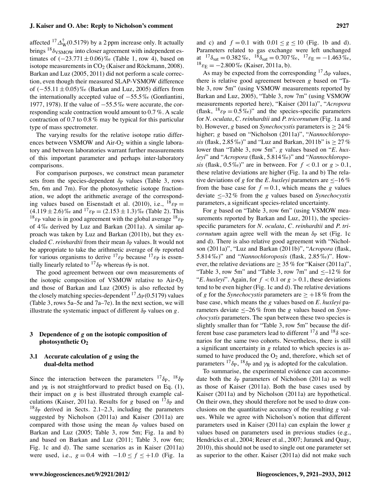#### **J. Kaiser and O. Abe: Reply to Nicholson's comment 2927**

affected  ${}^{17}\Delta_{\rm W}^{\dagger}$ (0.5179) by a 2 ppm increase only. It actually brings  $^{18}\delta$ <sub>VSMOW</sub> into closer agreement with independent estimates of  $(-23.771 \pm 0.06) \%$  (Table 1, row 4), based on isotope measurements in  $CO<sub>2</sub>$  (Kaiser and Röckmann, 2008). Barkan and Luz (2005, 2011) did not perform a scale correction, even though their measured SLAP-VSMOW difference of  $(-55.11 \pm 0.05)\%$  (Barkan and Luz, 2005) differs from the internationally accepted value of  $-55.5\%$  (Gonfiantini, 1977, 1978). If the value of  $-55.5\%$  were accurate, the corresponding scale contraction would amount to 0.7 %. A scale contraction of 0.7 to 0.8 % may be typical for this particular type of mass spectrometer.

The varying results for the relative isotope ratio differences between VSMOW and  $Air-O<sub>2</sub>$  within a single laboratory and between laboratories warrant further measurements of this important parameter and perhaps inter-laboratory comparisons.

For comparison purposes, we construct mean parameter sets from the species-dependent  $\delta_P$  values (Table 3, rows 5m, 6m and 7m). For the photosynthetic isotope fractionation, we adopt the arithmetic average of the corresponding values based on Eisenstadt et al. (2010), i.e.,  $^{18}$   $\varepsilon_{\rm P}$  =  $(4.119 \pm 2.6)$ % and  $^{17}$   $\varepsilon$ <sub>P</sub> =  $(2.153 \pm 1.3)$ % (Table 2). This  $^{18}$  $\varepsilon$ <sub>P</sub> value is in good agreement with the global average  $^{18}$  $\varepsilon$ <sub>P</sub> of 4 ‰ derived by Luz and Barkan (2011a). A similar approach was taken by Luz and Barkan (2011b), but they excluded *C. reinhardtii* from their mean δ<sub>P</sub> values. It would not be appropriate to take the arithmetic average of  $\theta$  reported for various organisms to derive  $^{17}$   $\varepsilon_{\rm P}$  because  $^{17}$   $\varepsilon_{\rm P}$  is essentially linearly related to <sup>17</sup> $\delta$ <sub>P</sub> whereas  $\theta$ <sub>P</sub> is not.

The good agreement between our own measurements of the isotopic composition of VSMOW relative to  $Air-O<sub>2</sub>$ and those of Barkan and Luz (2005) is also reflected by the closely matching species-dependent  ${}^{17}\Delta_P(0.5179)$  values (Table 3, rows 5a–5e and 7a–7e). In the next section, we will illustrate the systematic impact of different  $\delta_P$  values on  $g$ .

# **3 Dependence of** *g* **on the isotopic composition of photosynthetic O2**

# <span id="page-6-0"></span>**3.1 Accurate calculation of** *g* **using the dual-delta method**

Since the interaction between the parameters  $^{17}\delta_{\rm P}$ ,  $^{18}\delta_{\rm P}$ and  $\gamma_R$  is not straightforward to predict based on Eq. (1), their impact on *g* is best illustrated through example calculations (Kaiser, 2011a). Results for *g* based on  $17\delta$ <sub>P</sub> and  $18\delta$ <sub>P</sub> derived in Sects. [2.1–](#page-2-0)2.3, including the parameters suggested by Nicholson (2011a) and Kaiser (2011a) are compared with those using the mean  $\delta_P$  values based on Barkan and Luz (2005; Table 3, row 5m; Fig. 1a and b) and based on Barkan and Luz (2011; Table 3, row 6m; Fig. 1c and d). The same scenarios as in Kaiser (2011a) were used, i.e.,  $g = 0.4$  with  $-1.0 \le f \le +1.0$  (Fig. 1a and c) and  $f = 0.1$  with  $0.01 \le g \le 10$  (Fig. 1b and d). Parameters related to gas exchange were left unchanged at  $17\delta_{\rm sat} = 0.382\,\%$ ,  $18\delta_{\rm sat} = 0.707\,\%$ ,  $17\epsilon_{\rm E} = -1.463\,\%$ ,  $^{18}$   $\varepsilon_{\rm E} = -2.800\%$  (Kaiser, 2011a, b).

As may be expected from the corresponding  $^{17}\Delta_P$  values, there is relative good agreement between *g* based on "Table 3, row 5m" (using VSMOW measurements reported by Barkan and Luz, 2005), "Table 3, row 7m" (using VSMOW measurements reported here), "Kaiser (2011a)", "*Acropora* (flask,  $^{18}$  $\varepsilon_{\rm P} = 0.5\%$ )" and the species-specific parameters for *N. oculata*, *C. reinhardtii* and *P. tricornutum* (Fig. 1a and b). However, *g* based on *Synechocystis* parameters is  $\geq 24\%$ higher; *g* based on "Nicholson (2011a)", "*Nannochloroposis* (flask,  $2.85\%$ )" and "Luz and Barkan,  $2011b$ " is  $> 27\%$ lower than "Table 3, row 5m". *g* values based on "*E. huxleyi*" and "*Acropora* (flask, 5.814 ‰)" and "*Nannochloroposis* (flask,  $0.5\%$ )" are in between. For  $f < 0.1$  or  $g > 0.1$ , these relative deviations are higher (Fig. 1a and b) The relative deviations of *g* for the *E*. huxleyi parameters are  $\leq -16\%$ from the base case for  $f = 0.1$ , which means the *g* values deviate –32 % from the *g* values based on *Synechocystis* parameters, a significant species-related uncertainty.

For *g* based on "Table 3, row 6m" (using VSMOW measurements reported by Barkan and Luz, 2011), the speciesspecific parameters for *N. oculata*, *C. reinhardtii* and *P. tricornutum* again agree well with the mean  $\delta_P$  set (Fig. 1c and d). There is also relative good agreement with "Nicholson (2011a)", "Luz and Barkan (2011b)", "*Acropora* (flask, 5.814 ‰)" and "*Nannochloroposis* (flask, 2.85 ‰)". However, the relative deviations are  $\geq$  35 % for "Kaiser (2011a)", "Table 3, row 5m" and "Table 3, row 7m" and  $\leq -12\%$  for "*E. huxleyi*". Again, for  $f < 0.1$  or  $g > 0.1$ , these deviations tend to be even higher (Fig. 1c and d). The relative deviations of *g* for the *Synechocystis* parameters are  $\geq +18\%$  from the base case, which means the *g* values based on *E. huxleyi* parameters deviate  $\leq -26\%$  from the *g* values based on *Synechocystis* parameters. The span between these two species is slightly smaller than for "Table 3, row 5m" because the different base case parameters lead to different  $^{17}\delta$  and  $^{18}\delta$  scenarios for the same two cohorts. Nevertheless, there is still a significant uncertainty in *g* related to which species is assumed to have produced the  $O_2$  and, therefore, which set of parameters  $^{17}\delta_{\rm P}$ ,  $^{18}\delta_{\rm P}$  and  $\gamma_{\rm R}$  is adopted for the calculation.

To summarise, the experimental evidence can accommodate both the  $\delta_P$  parameters of Nicholson (2011a) as well as those of Kaiser (2011a). Both the base cases used by Kaiser (2011a) and by Nicholson (2011a) are hypothetical. On their own, they should therefore not be used to draw conclusions on the quantitative accuracy of the resulting *g* values. While we agree with Nicholson's notion that different parameters used in Kaiser (2011a) can explain the lower *g* values based on parameters used in previous studies (e.g., Hendricks et al., 2004; Reuer et al., 2007; Juranek and Quay, 2010), this should not be used to single out one parameter set as superior to the other. Kaiser (2011a) did not make such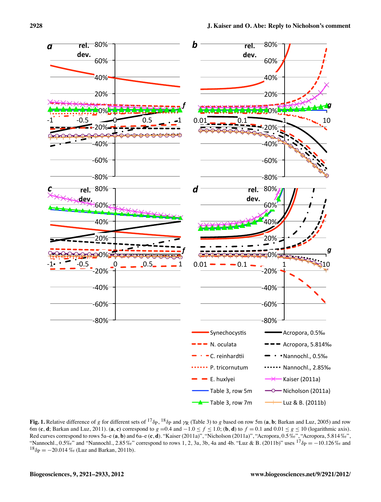

**Fig. 1.** Relative difference of *g* for different sets of <sup>17</sup> $\delta$ p, <sup>18</sup> $\delta$ p and  $\gamma$ g (Table 3) to *g* based on row 5m (**a**, **b**; Barkan and Luz, 2005) and row 6m (**c**, **d**; Barkan and Luz, 2011). (**a**, **c**) correspond to  $g = 0.4$  and  $-1.0 \le f \le 1.0$ ; (**b**, **d**) to  $f = 0.1$  and  $0.01 \le g \le 10$  (logarithmic axis). Red curves correspond to rows 5a–e (**a**, **b**) and 6a–e (**c**, **d**). "Kaiser (2011a)", "Nicholson (2011a)", "Acropora, 0.5 ‰", "Acropora, 5.814 ‰", "Nannochl., 0.5‰" and "Nannochl., 2.85%" correspond to rows 1, 2, 3a, 3b, 4a and 4b. "Luz & B. (2011b)" uses  $^{17}\delta_{\rm P} = -10.126\%$  and  $^{18}\delta_{\rm P} = -20.014$  ‰ (Luz and Barkan, 2011b).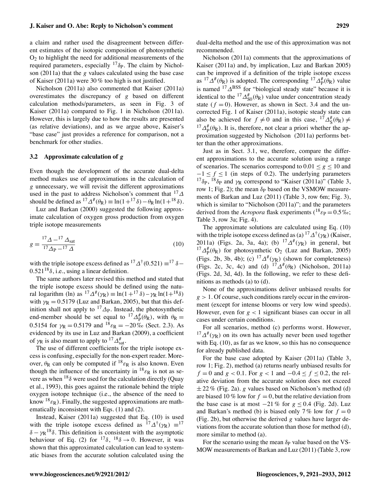#### **J. Kaiser and O. Abe: Reply to Nicholson's comment 2929**

a claim and rather used the disagreement between different estimates of the isotopic composition of photosynthetic  $O<sub>2</sub>$  to highlight the need for additional measurements of the required parameters, especially  $17\delta$ <sub>P</sub>. The claim by Nicholson (2011a) that the *g* values calculated using the base case of Kaiser (2011a) were 30 % too high is not justified.

Nicholson (2011a) also commented that Kaiser (2011a) overestimates the discrepancy of *g* based on different calculation methods/parameters, as seen in Fig. 3 of Kaiser (2011a) compared to Fig. 1 in Nicholson (2011a). However, this is largely due to how the results are presented (as relative deviations), and as we argue above, Kaiser's "base case" just provides a reference for comparison, not a benchmark for other studies.

# **3.2 Approximate calculation of** *g*

Even though the development of the accurate dual-delta method makes use of approximations in the calculation of *g* unnecessary, we will revisit the different approximations used in the past to address Nicholson's comment that  $17\Delta$ should be defined as  ${}^{17}\Delta^{\#}(\theta_R) \equiv \ln(1+{}^{17}\delta) - \theta_R \ln(1+{}^{18}\delta)$ .

Luz and Barkan (2000) suggested the following approximate calculation of oxygen gross production from oxygen triple isotope measurements

$$
g = \frac{{}^{17}\Delta - {}^{17}\Delta_{\text{sat}}}{17\Delta_{\text{P}} - {}^{17}\Delta} \tag{10}
$$

with the triple isotope excess defined as  ${}^{17}\Delta^{\dagger}(0.521) \equiv {}^{17}\delta$ - $0.521^{18}\delta$ , i.e., using a linear definition.

The same authors later revised this method and stated that the triple isotope excess should be defined using the natural logarithm (ln) as  ${}^{17}\Delta^{\#}(\gamma_R) \equiv \ln(1 + {}^{17}\delta) - \gamma_R \ln(1 + {}^{18}\delta)$ with  $\gamma_R = 0.5179$  (Luz and Barkan, 2005), but that this definition shall not apply to  $^{17}\Delta_{\rm P}$ . Instead, the photosynthetic end-member should be set equal to  ${}^{17}\Delta_p^{\#}(\theta_R)$ , with  $\theta_R =$ 0.5154 for  $\gamma_R = 0.5179$  and  $^{18} \varepsilon_R = -20\%$  (Sect. 2.3). As evidenced by its use in Luz and Barkan (2009), a coefficient of  $\gamma_R$  is also meant to apply to  $^{17}\Delta_{sat}^{\#}$ .

The use of different coefficients for the triple isotope excess is confusing, especially for the non-expert reader. Moreover,  $\theta_R$  can only be computed if  $^{18} \varepsilon_R$  is also known. Even though the influence of the uncertainty in  $^{18} \varepsilon_R$  is not as severe as when  $^{18}\delta$  were used for the calculation directly (Quay et al., 1993), this goes against the rationale behind the triple oxygen isotope technique (i.e., the absence of the need to know  $^{18}$  $\varepsilon_{\rm R}$ ). Finally, the suggested approximations are mathematically inconsistent with Eqs. (1) and (2).

Instead, Kaiser (2011a) suggested that Eq. (10) is used with the triple isotope excess defined as  $17\angle 17\angle 17$   $\approx 17$  $\delta - \gamma R^{18} \delta$ . This definition is consistent with the asymptotic behaviour of Eq. (2) for  $17\delta$ ,  $18\delta \rightarrow 0$ . However, it was shown that this approximated calculation can lead to systematic biases from the accurate solution calculated using the dual-delta method and the use of this approximation was not recommended.

Nicholson (2011a) comments that the approximations of Kaiser (2011a) and, by implication, Luz and Barkan 2005) can be improved if a definition of the triple isotope excess as  ${}^{17}\Delta^{\#}(\theta_R)$  is adopted. The corresponding  ${}^{17}\Delta^{\#}_P(\theta_R)$  value is named  $^{17}\Delta$ BSS for "biological steady state" because it is identical to the <sup>17</sup> $\Delta_{\text{SO}}^{\#}(\theta_{\text{R}})$  value under concentration steady state  $(f = 0)$ . However, as shown in Sect. 3.4 and the uncorrected Fig. 1 of Kaiser (2011a), isotopic steady state can also be achieved for  $f \neq 0$  and in this case,  ${}^{17}\Delta_8^{\#}(\theta_R) \neq$ also be achieved for  $f \neq 0$  and in this case,  ${}^{17}\Delta_5^{\#}(\theta_R) \neq {}^{17}\Delta_1^{\#}(\theta_R)$ . It is, therefore, not clear a priori whether the approximation suggested by Nicholson (2011a) performs better than the other approximations.

Just as in Sect. [3.1,](#page-6-0) we, therefore, compare the different approximations to the accurate solution using a range of scenarios. The scenarios correspond to  $0.01 \le g \le 10$  and  $-1 \le f \le 1$  (in steps of 0.2). The underlying parameters  $^{17}\delta_{\rm P}$ ,  $^{18}\delta_{\rm P}$  and  $\gamma_{\rm R}$  correspond to "Kaiser (2011a)" (Table 3, row 1; Fig. 2); the mean  $\delta_P$  based on the VSMOW measurements of Barkan and Luz (2011) (Table 3, row 6m; Fig. 3), which is similar to "Nicholson (2011a)"; and the parameters derived from the *Acropora* flask experiments ( $^{18}$  $\varepsilon_{\rm P} = 0.5\%$ ; Table 3, row 3a; Fig. 4).

The approximate solutions are calculated using Eq. (10) with the triple isotope excess defined as (a)  ${}^{17}\Delta^{\dagger}(\gamma_R)$  (Kaiser, 2011a) (Figs. 2a, 3a, 4a); (b)  $17\Delta^{\#}(\gamma_R)$  in general, but <sup>17</sup> $\Delta_p^{\sharp}(\theta_R)$  for photosynthetic O<sub>2</sub> (Luz and Barkan, 2005) (Figs. 2b, 3b, 4b); (c)  ${}^{17}\Delta^{\#}(\gamma_R)$  (shown for completeness) (Figs. 2c, 3c, 4c) and (d)  ${}^{17}\Delta^{\#}(\theta_R)$  (Nicholson, 2011a) (Figs. 2d, 3d, 4d). In the following, we refer to these definitions as methods (a) to (d).

None of the approximations deliver unbiased results for *g >* 1. Of course, such conditions rarely occur in the environment (except for intense blooms or very low wind speeds). However, even for *g <* 1 significant biases can occur in all cases under certain conditions.

For all scenarios, method (c) performs worst. However,  $17\Delta^{\#}(\gamma_{\rm R})$  on its own has actually never been used together with Eq.  $(10)$ , as far as we know, so this has no consequence for already published data.

For the base case adopted by Kaiser (2011a) (Table 3, row 1; Fig. 2), method (a) returns nearly unbiased results for  $f = 0$  and  $g < 0.1$ . For  $g < 1$  and  $-0.4 \le f \le 0.2$ , the relative deviation from the accurate solution does not exceed ± 22 % (Fig. 2a). *g* values based on Nicholson's method (d) are biased 10 % low for  $f = 0$ , but the relative deviation from the base case is at most  $-21\%$  for  $g < 0.4$  (Fig. 2d). Luz and Barkan's method (b) is biased only  $7\%$  low for  $f = 0$ (Fig. 2b), but otherwise the derived *g* values have larger deviations from the accurate solution than those for method (d), more similar to method (a).

For the scenario using the mean  $\delta_P$  value based on the VS-MOW measurements of Barkan and Luz (2011) (Table 3, row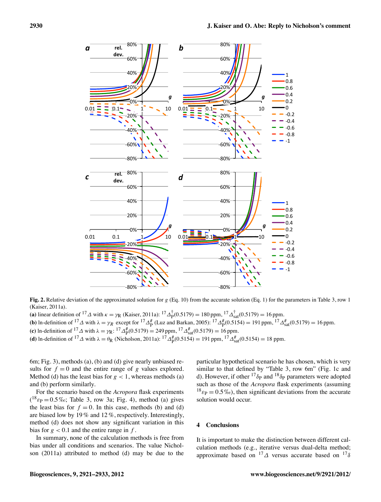

**Fig. 2.** Relative deviation of the approximated solution for  $g$  (Eq. 10) from the accurate solution (Eq. 1) for the parameters in Table 3, row 1 (Kaiser, 2011a).

(a) linear definition of <sup>17</sup> $\Delta$  with  $\kappa = \gamma_R$  (Kaiser, 2011a): <sup>17</sup> $\Delta_P^{\dagger}$ (0.5179) = 180 ppm, <sup>17</sup> $\Delta_{\text{sat}}^{\dagger}$ (0.5179) = 16 ppm. **(b)** ln-definition of  $^{17}\Delta$  with  $\lambda = \gamma_R$  except for  $^{17}\Delta_p^{\#}$  (Luz and Barkan, 2005):  $^{17}\Delta_p^{\#}(0.5154) = 191$  ppm,  $^{17}\Delta_{sat}^{\#}(0.5179) = 16$  ppm. (c) ln-definition of <sup>17</sup>  $\Delta$  with  $\lambda = \gamma_R$ : <sup>17</sup>  $\Delta_P^{\#}(0.5179) = 249$  ppm, <sup>17</sup>  $\Delta_{\text{sat}}^{\#}(0.5179) = 16$  ppm. **(d)** ln-definition of <sup>17</sup> $\Delta$  with  $\lambda = \theta_R$  (Nicholson, 2011a): <sup>17</sup> $\Delta_P^{\#}(0.5154) = 191$  ppm, <sup>17</sup> $\Delta_{sat}^{\#}(0.5154) = 18$  ppm.

6m; Fig. 3), methods (a), (b) and (d) give nearly unbiased results for  $f = 0$  and the entire range of *g* values explored. Method (d) has the least bias for  $g < 1$ , whereas methods (a) and (b) perform similarly.

For the scenario based on the *Acropora* flask experiments  $(1^8 \varepsilon_P = 0.5\% \text{m}$ ; Table 3, row 3a; Fig. 4), method (a) gives the least bias for  $f = 0$ . In this case, methods (b) and (d) are biased low by 19 % and 12 %, respectively. Interestingly, method (d) does not show any significant variation in this bias for  $g < 0.1$  and the entire range in  $f$ .

In summary, none of the calculation methods is free from bias under all conditions and scenarios. The value Nicholson (2011a) attributed to method (d) may be due to the particular hypothetical scenario he has chosen, which is very similar to that defined by "Table 3, row 6m" (Fig. 1c and d). However, if other  $^{17}\delta_{\rm P}$  and  $^{18}\delta_{\rm P}$  parameters were adopted such as those of the *Acropora* flask experiments (assuming  $^{18}$   $_{\text{Ep}}$  = 0.5 ‰), then significant deviations from the accurate solution would occur.

# **4 Conclusions**

It is important to make the distinction between different calculation methods (e.g., iterative versus dual-delta method; approximate based on  $^{17}\Delta$  versus accurate based on  $^{17}\delta$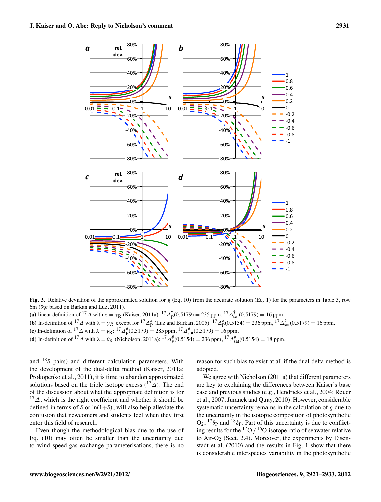

**Fig. 3.** Relative deviation of the approximated solution for *g* (Eq. 10) from the accurate solution (Eq. 1) for the parameters in Table 3, row 6m ( $\delta$ <sub>W</sub> based on Barkan and Luz, 2011).

(a) linear definition of <sup>17</sup> $\Delta$  with  $\kappa = \gamma_R$  (Kaiser, 2011a): <sup>17</sup> $\Delta_P^{\dagger}$ (0.5179) = 235 ppm, <sup>17</sup> $\Delta_{\text{sat}}^{\dagger}$ (0.5179) = 16 ppm. **(b)** ln-definition of  $^{17}\Delta$  with  $\lambda = \gamma_R$  except for  $^{17}\Delta_p^{\#}$  (Luz and Barkan, 2005):  $^{17}\Delta_p^{\#}(0.5154) = 236$  ppm,  $^{17}\Delta_{sat}^{\#}(0.5179) = 16$  ppm. (c) ln-definition of <sup>17</sup>  $\Delta$  with  $\lambda = \gamma R$ : <sup>17</sup>  $\Delta_p^{\#}(0.5179) = 285$  ppm, <sup>17</sup>  $\Delta_{\text{sat}}^{\#}(0.5179) = 16$  ppm. **(d)** ln-definition of <sup>17</sup> $\Delta$  with  $\lambda = \theta_R$  (Nicholson, 2011a): <sup>17</sup> $\Delta_P^{\#}(0.5154) = 236$  ppm, <sup>17</sup> $\Delta_{sat}^{\#}(0.5154) = 18$  ppm.

and  $18\delta$  pairs) and different calculation parameters. With the development of the dual-delta method (Kaiser, 2011a; Prokopenko et al., 2011), it is time to abandon approximated solutions based on the triple isotope excess  $({}^{17}\Delta)$ . The end of the discussion about what the appropriate definition is for  $17\Delta$ , which is the right coefficient and whether it should be defined in terms of  $\delta$  or  $\ln(1+\delta)$ , will also help alleviate the confusion that newcomers and students feel when they first enter this field of research.

Even though the methodological bias due to the use of Eq. (10) may often be smaller than the uncertainty due to wind speed-gas exchange parameterisations, there is no reason for such bias to exist at all if the dual-delta method is adopted.

We agree with Nicholson (2011a) that different parameters are key to explaining the differences between Kaiser's base case and previous studies (e.g., Hendricks et al., 2004; Reuer et al., 2007; Juranek and Quay, 2010). However, considerable systematic uncertainty remains in the calculation of *g* due to the uncertainty in the isotopic composition of photosynthetic  $O_2$ ,  $^{17}\delta_P$  and  $^{18}\delta_P$ . Part of this uncertainty is due to conflicting results for the  $^{17}O/^{16}O$  isotope ratio of seawater relative to Air-O<sub>2</sub> (Sect. 2.4). Moreover, the experiments by Eisenstadt et al. (2010) and the results in Fig. 1 show that there is considerable interspecies variability in the photosynthetic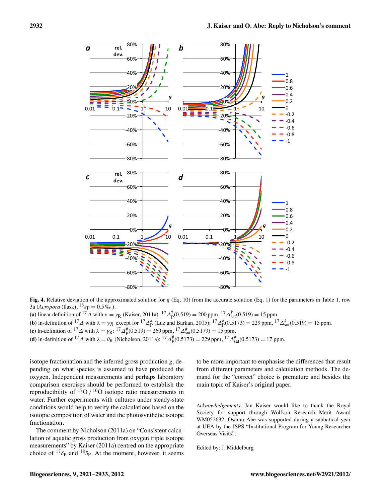80%%



80%%

 $80%$  $-60%$  $40%$  $-20%$ 0%% 20%% 40%% 60%%  $0.01$   $\overline{\phantom{0}}$   $0.1$   $\overline{\phantom{0}}$   $\overline{\phantom{0}}$   $1$   $\overline{\phantom{0}}$   $\overline{\phantom{0}}$   $1$   $\overline{\phantom{0}}$   $\overline{\phantom{0}}$   $1$   $\overline{\phantom{0}}$   $\overline{\phantom{0}}$   $10$ **rel.%** dev. *g"*  $-80%$  $-60%$ **40%**  $-20%$  $10\%$ 20%% 40%% 60%%  $0.01 - 0.1 - 1$  1 10 *g"*  $\mathbf 1$ 0.8% 0.6%  $0.4$  $0.2$  $\Omega$  $-0.2$  $-0.4$  $-0.6$  $-0.8$  $-1$  $-80%$  $-60%$  $-80%$  $-60%$  $-40%$ 20% 0%% 20%% 40%% 60%% 80%%  $0.01$   $0.1$   $1$   $10$ *g"* 1% 0.8% 0.6% 0.4% 0.2%  $\Omega$  $-0.2$  $-0.4$  $-0.6$  $-0.8$  $-1$ *a* rel.  $\frac{1}{2}$  **b**  $\mathcal{C}$   $\left| \begin{array}{ccc} 1 & 1 & 0 & 0 \\ 0 & 0 & 0 & 0 \\ 0 & 0 & 0 & 0 \\ 0 & 0 & 0 & 0 \\ 0 & 0 & 0 & 0 \\ 0 & 0 & 0 & 0 \\ 0 & 0 & 0 & 0 \\ 0 & 0 & 0 & 0 \\ 0 & 0 & 0 & 0 \\ 0 & 0 & 0 & 0 \\ 0 & 0 & 0 & 0 \\ 0 & 0 & 0 & 0 \\ 0 & 0 & 0 & 0 \\ 0 & 0 & 0 & 0 \\ 0 & 0 & 0 & 0 & 0 \\ 0 & 0 & 0 & 0 & 0 \\ 0 &$ 

**Fig. 4.** Relative deviation of the approximated solution for *g* (Eq. 10) from the accurate solution (Eq. 1) for the parameters in Table 1, row  $3a$  (*Acropora* (flask),  $^{18}$   $\varepsilon_{\rm P} = 0.5\%$ ).

(a) linear definition of <sup>17</sup> $\Delta$  with  $\kappa = \gamma_R$  (Kaiser, 2011a): <sup>17</sup> $\Delta_P^{\dagger}$ (0.519) = 200 ppm, <sup>17</sup> $\Delta_{\text{sat}}^{\dagger}$ (0.519) = 15 ppm. **(b)** ln-definition of <sup>17</sup> $\Delta$  with  $\lambda = \gamma_R$  except for <sup>17</sup> $\Delta_P^{\#}$  (Luz and Barkan, 2005): <sup>17</sup> $\Delta_P^{\#}(0.5173) = 229$  ppm, <sup>17</sup> $\Delta_{sat}^{\#}(0.519) = 15$  ppm. (c) ln-definition of <sup>17</sup>  $\Delta$  with  $\lambda = \gamma_R$ : <sup>17</sup> $\Delta_P^{\#}(0.519) = 269$  ppm, <sup>17</sup> $\Delta_{\text{sat}}^{\#}(0.5179) = 15$  ppm. **(d)** ln-definition of <sup>17</sup> $\Delta$  with  $\lambda = \theta_R$  (Nicholson, 2011a): <sup>17</sup> $\Delta_P^{\#}(0.5173) = 229$  ppm, <sup>17</sup> $\Delta_{sat}^{\#}(0.5173) = 17$  ppm.

isotope fractionation and the inferred gross production *g*, depending on what species is assumed to have produced the oxygen. Independent measurements and perhaps laboratory comparison exercises should be performed to establish the reproducibility of  $^{17}O$  / <sup>16</sup>O isotope ratio measurements in water. Further experiments with cultures under steady-state conditions would help to verify the calculations based on the isotopic composition of water and the photosynthetic isotope fractionation.

The comment by Nicholson (2011a) on "Consistent calculation of aquatic gross production from oxygen triple isotope measurements" by Kaiser (2011a) centred on the appropriate choice of  $17_{\delta p}$  and  $18_{\delta p}$ . At the moment, however, it seems

to be more important to emphasise the differences that result from different parameters and calculation methods. The demand for the "correct" choice is premature and besides the main topic of Kaiser's original paper.

*Acknowledgements.* Jan Kaiser would like to thank the Royal Society for support through Wolfson Research Merit Award WM052632. Osamu Abe was supported during a sabbatical year at UEA by the JSPS "Institutional Program for Young Researcher Overseas Visits".

Edited by: J. Middelburg